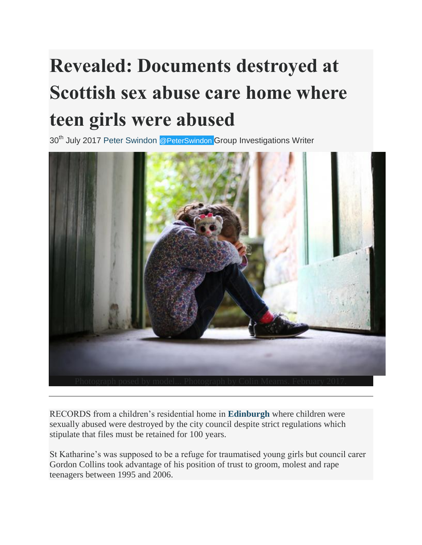## **Revealed: Documents destroyed at Scottish sex abuse care home where teen girls were abused**

30<sup>th</sup> July 2017 [Peter Swindon](http://www.heraldscotland.com/author/profile/73463.Peter_Swindon/) [@PeterSwindon](http://www.twitter.com/@PeterSwindon) Group Investigations Writer



RECORDS from a children's residential home in **[Edinburgh](http://www.heraldscotland.com/search/?search=Edinburgh&topic_id=8798)** where children were sexually abused were destroyed by the city council despite strict regulations which stipulate that files must be retained for 100 years.

St Katharine's was supposed to be a refuge for traumatised young girls but council carer Gordon Collins took advantage of his position of trust to groom, molest and rape teenagers between 1995 and 2006.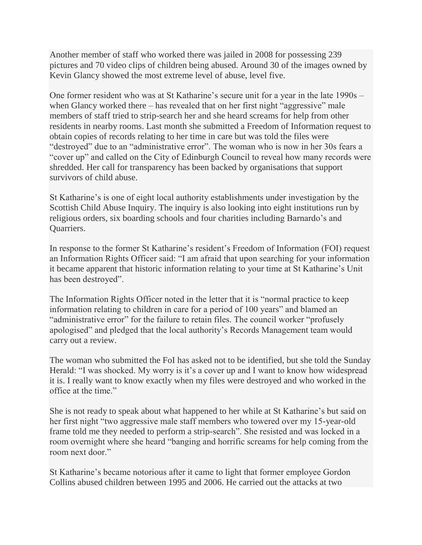Another member of staff who worked there was jailed in 2008 for possessing 239 pictures and 70 video clips of children being abused. Around 30 of the images owned by Kevin Glancy showed the most extreme level of abuse, level five.

One former resident who was at St Katharine's secure unit for a year in the late 1990s – when Glancy worked there – has revealed that on her first night "aggressive" male members of staff tried to strip-search her and she heard screams for help from other residents in nearby rooms. Last month she submitted a Freedom of Information request to obtain copies of records relating to her time in care but was told the files were "destroyed" due to an "administrative error". The woman who is now in her 30s fears a "cover up" and called on the City of Edinburgh Council to reveal how many records were shredded. Her call for transparency has been backed by organisations that support survivors of child abuse.

St Katharine's is one of eight local authority establishments under investigation by the Scottish Child Abuse Inquiry. The inquiry is also looking into eight institutions run by religious orders, six boarding schools and four charities including Barnardo's and Quarriers.

In response to the former St Katharine's resident's Freedom of Information (FOI) request an Information Rights Officer said: "I am afraid that upon searching for your information it became apparent that historic information relating to your time at St Katharine's Unit has been destroyed".

The Information Rights Officer noted in the letter that it is "normal practice to keep information relating to children in care for a period of 100 years" and blamed an "administrative error" for the failure to retain files. The council worker "profusely apologised" and pledged that the local authority's Records Management team would carry out a review.

The woman who submitted the FoI has asked not to be identified, but she told the Sunday Herald: "I was shocked. My worry is it's a cover up and I want to know how widespread it is. I really want to know exactly when my files were destroyed and who worked in the office at the time."

She is not ready to speak about what happened to her while at St Katharine's but said on her first night "two aggressive male staff members who towered over my 15-year-old frame told me they needed to perform a strip-search". She resisted and was locked in a room overnight where she heard "banging and horrific screams for help coming from the room next door."

St Katharine's became notorious after it came to light that former employee Gordon Collins abused children between 1995 and 2006. He carried out the attacks at two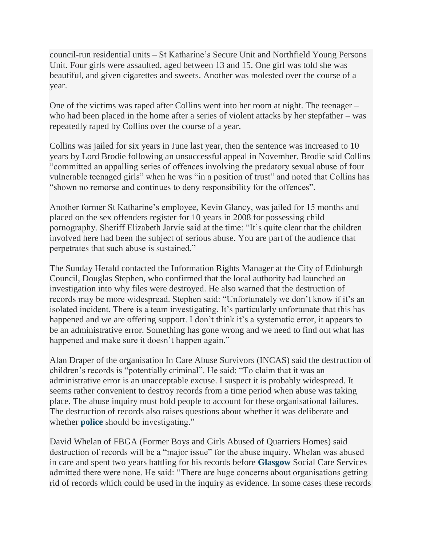council-run residential units – St Katharine's Secure Unit and Northfield Young Persons Unit. Four girls were assaulted, aged between 13 and 15. One girl was told she was beautiful, and given cigarettes and sweets. Another was molested over the course of a year.

One of the victims was raped after Collins went into her room at night. The teenager – who had been placed in the home after a series of violent attacks by her stepfather – was repeatedly raped by Collins over the course of a year.

Collins was jailed for six years in June last year, then the sentence was increased to 10 years by Lord Brodie following an unsuccessful appeal in November. Brodie said Collins "committed an appalling series of offences involving the predatory sexual abuse of four vulnerable teenaged girls" when he was "in a position of trust" and noted that Collins has "shown no remorse and continues to deny responsibility for the offences".

Another former St Katharine's employee, Kevin Glancy, was jailed for 15 months and placed on the sex offenders register for 10 years in 2008 for possessing child pornography. Sheriff Elizabeth Jarvie said at the time: "It's quite clear that the children involved here had been the subject of serious abuse. You are part of the audience that perpetrates that such abuse is sustained."

The Sunday Herald contacted the Information Rights Manager at the City of Edinburgh Council, Douglas Stephen, who confirmed that the local authority had launched an investigation into why files were destroyed. He also warned that the destruction of records may be more widespread. Stephen said: "Unfortunately we don't know if it's an isolated incident. There is a team investigating. It's particularly unfortunate that this has happened and we are offering support. I don't think it's a systematic error, it appears to be an administrative error. Something has gone wrong and we need to find out what has happened and make sure it doesn't happen again."

Alan Draper of the organisation In Care Abuse Survivors (INCAS) said the destruction of children's records is "potentially criminal". He said: "To claim that it was an administrative error is an unacceptable excuse. I suspect it is probably widespread. It seems rather convenient to destroy records from a time period when abuse was taking place. The abuse inquiry must hold people to account for these organisational failures. The destruction of records also raises questions about whether it was deliberate and whether **[police](http://www.heraldscotland.com/search/?search=police&topic_id=8792)** should be investigating."

David Whelan of FBGA (Former Boys and Girls Abused of Quarriers Homes) said destruction of records will be a "major issue" for the abuse inquiry. Whelan was abused in care and spent two years battling for his records before **[Glasgow](http://www.heraldscotland.com/search/?search=Glasgow&topic_id=8799)** Social Care Services admitted there were none. He said: "There are huge concerns about organisations getting rid of records which could be used in the inquiry as evidence. In some cases these records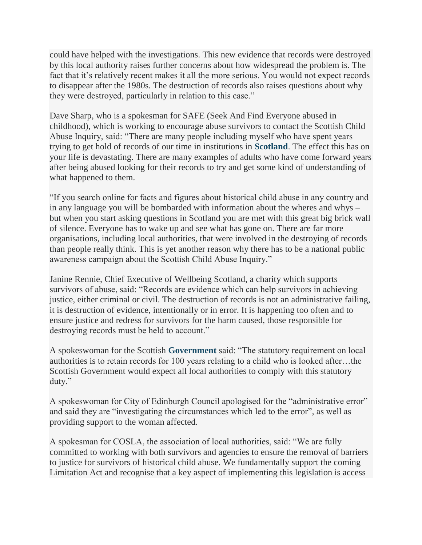could have helped with the investigations. This new evidence that records were destroyed by this local authority raises further concerns about how widespread the problem is. The fact that it's relatively recent makes it all the more serious. You would not expect records to disappear after the 1980s. The destruction of records also raises questions about why they were destroyed, particularly in relation to this case."

Dave Sharp, who is a spokesman for SAFE (Seek And Find Everyone abused in childhood), which is working to encourage abuse survivors to contact the Scottish Child Abuse Inquiry, said: "There are many people including myself who have spent years trying to get hold of records of our time in institutions in **[Scotland](http://www.heraldscotland.com/search/?search=Scotland&topic_id=8820)**. The effect this has on your life is devastating. There are many examples of adults who have come forward years after being abused looking for their records to try and get some kind of understanding of what happened to them.

"If you search online for facts and figures about historical child abuse in any country and in any language you will be bombarded with information about the wheres and whys – but when you start asking questions in Scotland you are met with this great big brick wall of silence. Everyone has to wake up and see what has gone on. There are far more organisations, including local authorities, that were involved in the destroying of records than people really think. This is yet another reason why there has to be a national public awareness campaign about the Scottish Child Abuse Inquiry."

Janine Rennie, Chief Executive of Wellbeing Scotland, a charity which supports survivors of abuse, said: "Records are evidence which can help survivors in achieving justice, either criminal or civil. The destruction of records is not an administrative failing, it is destruction of evidence, intentionally or in error. It is happening too often and to ensure justice and redress for survivors for the harm caused, those responsible for destroying records must be held to account."

A spokeswoman for the Scottish **[Government](http://www.heraldscotland.com/search/?search=Government&topic_id=8816)** said: "The statutory requirement on local authorities is to retain records for 100 years relating to a child who is looked after…the Scottish Government would expect all local authorities to comply with this statutory duty."

A spokeswoman for City of Edinburgh Council apologised for the "administrative error" and said they are "investigating the circumstances which led to the error", as well as providing support to the woman affected.

A spokesman for COSLA, the association of local authorities, said: "We are fully committed to working with both survivors and agencies to ensure the removal of barriers to justice for survivors of historical child abuse. We fundamentally support the coming Limitation Act and recognise that a key aspect of implementing this legislation is access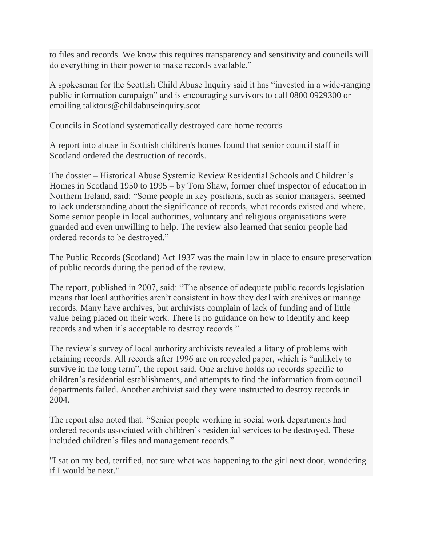to files and records. We know this requires transparency and sensitivity and councils will do everything in their power to make records available."

A spokesman for the Scottish Child Abuse Inquiry said it has "invested in a wide-ranging public information campaign" and is encouraging survivors to call 0800 0929300 or emailing talktous@childabuseinquiry.scot

Councils in Scotland systematically destroyed care home records

A report into abuse in Scottish children's homes found that senior council staff in Scotland ordered the destruction of records.

The dossier – Historical Abuse Systemic Review Residential Schools and Children's Homes in Scotland 1950 to 1995 – by Tom Shaw, former chief inspector of education in Northern Ireland, said: "Some people in key positions, such as senior managers, seemed to lack understanding about the significance of records, what records existed and where. Some senior people in local authorities, voluntary and religious organisations were guarded and even unwilling to help. The review also learned that senior people had ordered records to be destroyed."

The Public Records (Scotland) Act 1937 was the main law in place to ensure preservation of public records during the period of the review.

The report, published in 2007, said: "The absence of adequate public records legislation means that local authorities aren't consistent in how they deal with archives or manage records. Many have archives, but archivists complain of lack of funding and of little value being placed on their work. There is no guidance on how to identify and keep records and when it's acceptable to destroy records."

The review's survey of local authority archivists revealed a litany of problems with retaining records. All records after 1996 are on recycled paper, which is "unlikely to survive in the long term", the report said. One archive holds no records specific to children's residential establishments, and attempts to find the information from council departments failed. Another archivist said they were instructed to destroy records in 2004.

The report also noted that: "Senior people working in social work departments had ordered records associated with children's residential services to be destroyed. These included children's files and management records."

"I sat on my bed, terrified, not sure what was happening to the girl next door, wondering if I would be next."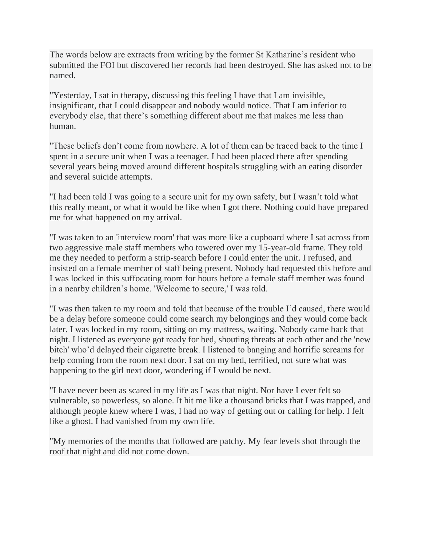The words below are extracts from writing by the former St Katharine's resident who submitted the FOI but discovered her records had been destroyed. She has asked not to be named.

"Yesterday, I sat in therapy, discussing this feeling I have that I am invisible, insignificant, that I could disappear and nobody would notice. That I am inferior to everybody else, that there's something different about me that makes me less than human.

"These beliefs don't come from nowhere. A lot of them can be traced back to the time I spent in a secure unit when I was a teenager. I had been placed there after spending several years being moved around different hospitals struggling with an eating disorder and several suicide attempts.

"I had been told I was going to a secure unit for my own safety, but I wasn't told what this really meant, or what it would be like when I got there. Nothing could have prepared me for what happened on my arrival.

"I was taken to an 'interview room' that was more like a cupboard where I sat across from two aggressive male staff members who towered over my 15-year-old frame. They told me they needed to perform a strip-search before I could enter the unit. I refused, and insisted on a female member of staff being present. Nobody had requested this before and I was locked in this suffocating room for hours before a female staff member was found in a nearby children's home. 'Welcome to secure,' I was told.

"I was then taken to my room and told that because of the trouble I'd caused, there would be a delay before someone could come search my belongings and they would come back later. I was locked in my room, sitting on my mattress, waiting. Nobody came back that night. I listened as everyone got ready for bed, shouting threats at each other and the 'new bitch' who'd delayed their cigarette break. I listened to banging and horrific screams for help coming from the room next door. I sat on my bed, terrified, not sure what was happening to the girl next door, wondering if I would be next.

"I have never been as scared in my life as I was that night. Nor have I ever felt so vulnerable, so powerless, so alone. It hit me like a thousand bricks that I was trapped, and although people knew where I was, I had no way of getting out or calling for help. I felt like a ghost. I had vanished from my own life.

"My memories of the months that followed are patchy. My fear levels shot through the roof that night and did not come down.